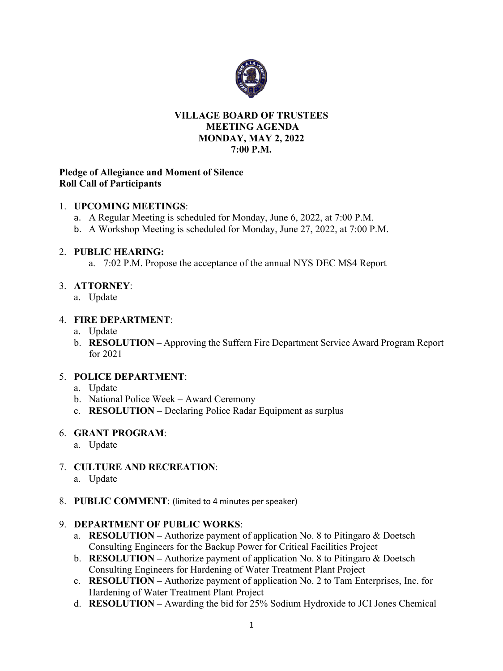

#### **VILLAGE BOARD OF TRUSTEES MEETING AGENDA MONDAY, MAY 2, 2022 7:00 P.M.**

## **Pledge of Allegiance and Moment of Silence Roll Call of Participants**

## 1. **UPCOMING MEETINGS**:

- a. A Regular Meeting is scheduled for Monday, June 6, 2022, at 7:00 P.M.
- b. A Workshop Meeting is scheduled for Monday, June 27, 2022, at 7:00 P.M.

## 2. **PUBLIC HEARING:**

a. 7:02 P.M. Propose the acceptance of the annual NYS DEC MS4 Report

# 3. **ATTORNEY**:

a. Update

## 4. **FIRE DEPARTMENT**:

- a. Update
- b. **RESOLUTION –** Approving the Suffern Fire Department Service Award Program Report for 2021

# 5. **POLICE DEPARTMENT**:

- a. Update
- b. National Police Week Award Ceremony
- c. **RESOLUTION –** Declaring Police Radar Equipment as surplus

#### 6. **GRANT PROGRAM**:

- a. Update
- 7. **CULTURE AND RECREATION**:
	- a. Update
- 8. **PUBLIC COMMENT**: (limited to 4 minutes per speaker)

# 9. **DEPARTMENT OF PUBLIC WORKS**:

- a. **RESOLUTION –** Authorize payment of application No. 8 to Pitingaro & Doetsch Consulting Engineers for the Backup Power for Critical Facilities Project
- b. **RESOLUTION –** Authorize payment of application No. 8 to Pitingaro & Doetsch Consulting Engineers for Hardening of Water Treatment Plant Project
- c. **RESOLUTION –** Authorize payment of application No. 2 to Tam Enterprises, Inc. for Hardening of Water Treatment Plant Project
- d. **RESOLUTION –** Awarding the bid for 25% Sodium Hydroxide to JCI Jones Chemical